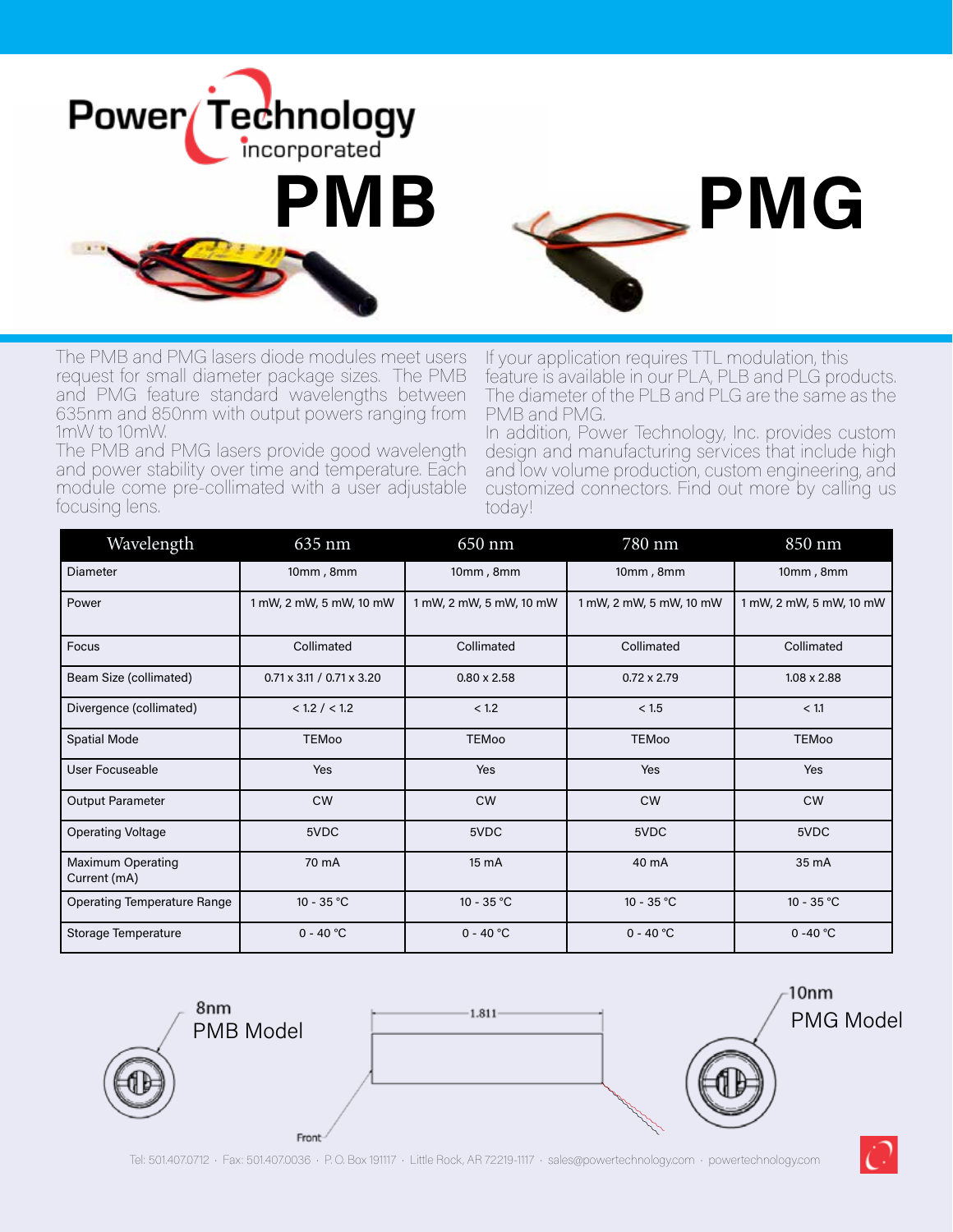



The PMB and PMG lasers diode modules meet users request for small diameter package sizes. The PMB and PMG feature standard wavelengths between 635nm and 850nm with output powers ranging from 1mW to 10mW.

The PMB and PMG lasers provide good wavelength and power stability over time and temperature. Each module come pre-collimated with a user adjustable focusing lens.

If your application requires TTL modulation, this feature is available in our PLA, PLB and PLG products. The diameter of the PLB and PLG are the same as the PMB and PMG.

In addition, Power Technology, Inc. provides custom design and manufacturing services that include high and low volume production, custom engineering, and customized connectors. Find out more by calling us today!

| Wavelength                         | 635 nm                                | 650 nm<br>780 nm        |                         | 850 nm                  |
|------------------------------------|---------------------------------------|-------------------------|-------------------------|-------------------------|
| Diameter                           | 10mm, 8mm                             | 10mm, 8mm               | 10mm, 8mm               | 10mm, 8mm               |
| Power                              | 1 mW, 2 mW, 5 mW, 10 mW               | 1 mW, 2 mW, 5 mW, 10 mW | 1 mW, 2 mW, 5 mW, 10 mW | 1 mW, 2 mW, 5 mW, 10 mW |
| Focus                              | Collimated                            | Collimated              | Collimated              | Collimated              |
| Beam Size (collimated)             | $0.71 \times 3.11 / 0.71 \times 3.20$ | $0.80 \times 2.58$      | $0.72 \times 2.79$      | $1.08 \times 2.88$      |
| Divergence (collimated)            | < 1.2 / < 1.2                         | < 1.2                   | < 1.5                   | < 1.1                   |
| <b>Spatial Mode</b>                | <b>TEMoo</b>                          | <b>TEMoo</b>            | <b>TEMoo</b>            | <b>TEMoo</b>            |
| User Focuseable                    | Yes                                   | Yes                     | Yes                     | Yes                     |
| <b>Output Parameter</b>            | <b>CW</b>                             | <b>CW</b>               | <b>CW</b>               | <b>CW</b>               |
| <b>Operating Voltage</b>           | 5VDC                                  | 5VDC                    | 5VDC                    | 5VDC                    |
| Maximum Operating<br>Current (mA)  | 70 mA                                 | 15 mA                   | 40 mA                   | 35 mA                   |
| <b>Operating Temperature Range</b> | 10 - 35 °C                            | 10 - 35 °C              | 10 - 35 °C              | 10 - 35 °C              |
| Storage Temperature                | $0 - 40 °C$                           | $0 - 40 °C$             | $0 - 40 °C$             | $0 - 40 °C$             |



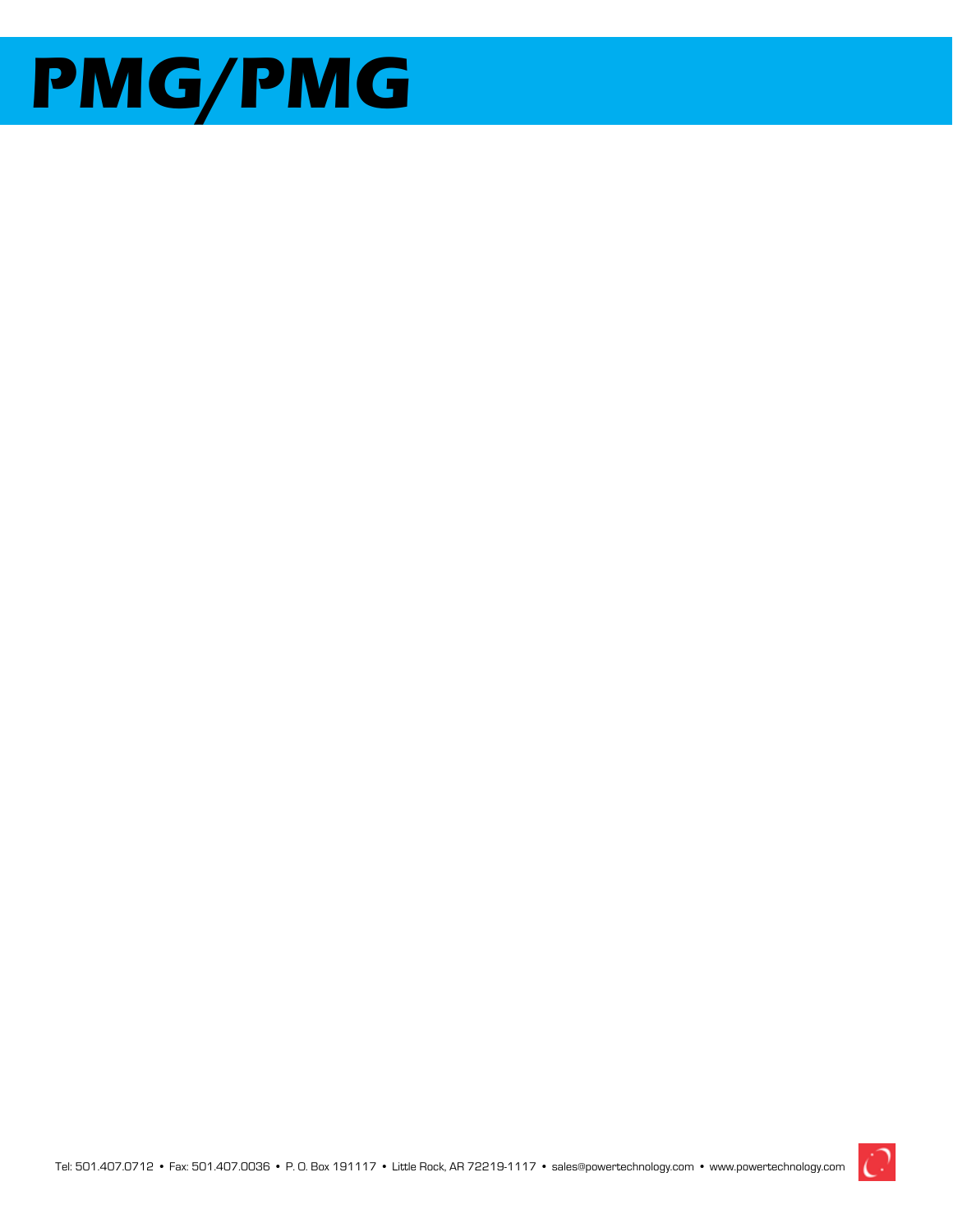